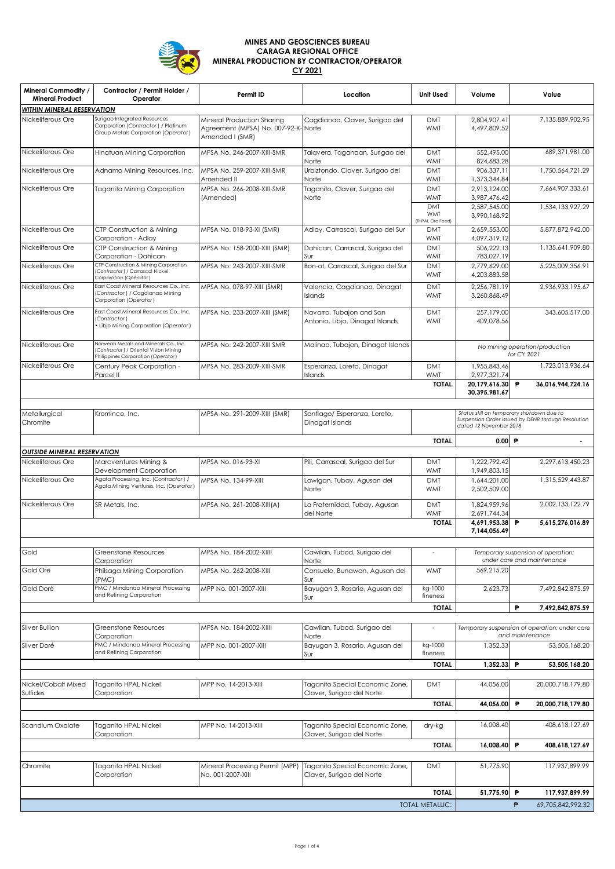

## **MINES AND GEOSCIENCES BUREAU CARAGA REGIONAL OFFICE MINERAL PRODUCTION BY CONTRACTOR/OPERATOR CY 2021**

| <b>Mineral Commodity /</b><br><b>Mineral Product</b> | Contractor / Permit Holder /<br>Operator                                                                            | Permit ID                                                                            | Location                                                     | <b>Unit Used</b>                             | Volume                                                           | Value                                                                                           |  |
|------------------------------------------------------|---------------------------------------------------------------------------------------------------------------------|--------------------------------------------------------------------------------------|--------------------------------------------------------------|----------------------------------------------|------------------------------------------------------------------|-------------------------------------------------------------------------------------------------|--|
| WITHIN MINERAL RESERVATION                           |                                                                                                                     |                                                                                      |                                                              |                                              |                                                                  |                                                                                                 |  |
| Nickeliferous Ore                                    | Surigao Integrated Resources<br>Corporation (Contractor) / Platinum<br>Group Metals Corporation (Operator)          | Mineral Production Sharing<br>Agreement (MPSA) No. 007-92-X-Norte<br>Amended I (SMR) | Cagdianao, Claver, Surigao del                               | <b>DMT</b><br><b>WMT</b>                     | 2,804,907.41<br>4,497,809.52                                     | 7,135,889,902.95                                                                                |  |
| Nickeliferous Ore                                    | Hinatuan Mining Corporation                                                                                         | MPSA No. 246-2007-XIII-SMR                                                           | Talavera, Taganaan, Surigao del<br>Norte                     | <b>DMT</b><br><b>WMT</b>                     | 552,495.00<br>824,683.28                                         | 689,371,981.00                                                                                  |  |
| Nickeliferous Ore                                    | Adnama Mining Resources, Inc.                                                                                       | MPSA No. 259-2007-XIII-SMR<br>Amended II                                             | Urbiztondo, Claver, Surigao del<br>Norte                     | <b>DMT</b><br><b>WMT</b>                     | 906,337.11<br>1,373,344.84                                       | 1,750,564,721.29                                                                                |  |
| Nickeliferous Ore                                    | Taganito Mining Corporation                                                                                         | MPSA No. 266-2008-XIII-SMR<br>(Amended)                                              | Taganito, Claver, Surigao del<br>Norte                       | <b>DMT</b><br><b>WMT</b>                     | 2.913.124.00<br>3,987,476.42                                     | 7,664,907,333.61                                                                                |  |
|                                                      |                                                                                                                     |                                                                                      |                                                              | <b>DMT</b><br><b>WMT</b><br>(THPAL Ore Feed) | 2,587,545.00<br>3,990,168.92                                     | 1,534,133,927.29                                                                                |  |
| Nickeliferous Ore                                    | CTP Construction & Mining<br>Corporation - Adlay                                                                    | MPSA No. 018-93-XI (SMR)                                                             | Adlay, Carrascal, Surigao del Sur                            | <b>DMT</b><br><b>WMT</b>                     | 2,659,553.00<br>4,097,319.12                                     | 5,877,872,942.00                                                                                |  |
| Nickeliferous Ore                                    | CTP Construction & Mining<br>Corporation - Dahican                                                                  | MPSA No. 158-2000-XIII (SMR)                                                         | Dahican, Carrascal, Surigao del<br>Sur                       | <b>DMT</b><br><b>WMT</b>                     | 506,222.13<br>783,027.19                                         | 1,135,641,909.80                                                                                |  |
| Nickeliferous Ore                                    | CTP Construction & Mining Corporation<br>(Contractor) / Carrascal Nickel<br>Corporation (Operator)                  | MPSA No. 243-2007-XIII-SMR                                                           | Bon-ot, Carrascal, Surigao del Sur                           | <b>DMT</b><br><b>WMT</b>                     | 2,779,629.00<br>4,203,883.58                                     | 5,225,009,356.91                                                                                |  |
| Nickeliferous Ore                                    | East Coast Mineral Resources Co., Inc.<br>(Contractor) / Cagdianao Mining<br>Corporation (Operator)                 | MPSA No. 078-97-XIII (SMR)                                                           | Valencia, Cagdianao, Dinagat<br>Islands                      | <b>DMT</b><br><b>WMT</b>                     | 2,256,781.19<br>3,260,868.49                                     | 2,936,933,195.67                                                                                |  |
| Nickeliferous Ore                                    | East Coast Mineral Resources Co., Inc.<br>(Contractor)<br>· Libjo Mining Corporation (Operator)                     | MPSA No. 233-2007-XIII (SMR)                                                         | Navarro, Tubajon and San<br>Antonio, Libjo, Dinagat Islands  | <b>DMT</b><br><b>WMT</b>                     | 257,179.00<br>409,078.56                                         | 343,605,517.00                                                                                  |  |
| Nickeliferous Ore                                    | Norweah Metals and Minerals Co., Inc.<br>Contractor) / Oriental Vision Mining<br>Philippines Corporation (Operator) | MPSA No. 242-2007-XIII SMR                                                           | Malinao, Tubajon, Dinagat Islands                            |                                              |                                                                  | No mining operation/production<br>for CY 2021                                                   |  |
| Nickeliferous Ore                                    | Century Peak Corporation -<br>Parcel II                                                                             | MPSA No. 283-2009-XIII-SMR                                                           | Esperanza, Loreto, Dinagat<br>Islands                        | <b>DMT</b><br><b>WMT</b>                     | 1,955,843.46<br>2,977,321.74                                     | 1,723,013,936.64                                                                                |  |
|                                                      |                                                                                                                     |                                                                                      |                                                              | <b>TOTAL</b>                                 | 20,179,616.30<br>30,395,981.67                                   | P<br>36,016,944,724.16                                                                          |  |
|                                                      |                                                                                                                     |                                                                                      |                                                              |                                              |                                                                  |                                                                                                 |  |
| Metallurgical<br>Chromite                            | Krominco, Inc.                                                                                                      | MPSA No. 291-2009-XIII (SMR)                                                         | Santiago/ Esperanza, Loreto,<br>Dinagat Islands              |                                              | dated 12 November 2018                                           | Status still on temporary shutdown due to<br>Suspension Order issued by DENR through Resolution |  |
|                                                      |                                                                                                                     |                                                                                      |                                                              | <b>TOTAL</b>                                 | 0.00 P                                                           | $\overline{a}$                                                                                  |  |
| <b>OUTSIDE MINERAL RESERVATION</b>                   |                                                                                                                     |                                                                                      |                                                              |                                              |                                                                  |                                                                                                 |  |
| Nickeliferous Ore                                    | Marcventures Mining &<br>Development Corporation                                                                    | MPSA No. 016-93-XI                                                                   | Pili, Carrascal, Surigao del Sur                             | <b>DMT</b><br><b>WMT</b>                     | 1,222,792.42<br>1,949,803.15                                     | 2,297,613,450.23                                                                                |  |
| Nickeliferous Ore                                    | Agata Processing, Inc. (Contractor) /<br>Agata Mining Ventures, Inc. (Operator)                                     | MPSA No. 134-99-XIII                                                                 | Lawigan, Tubay, Agusan del<br>Norte                          | <b>DMT</b><br><b>WMT</b>                     | 1,644,201.00<br>2,502,509.00                                     | 1,315,529,443.87                                                                                |  |
| Nickeliferous Ore                                    | SR Metals, Inc.                                                                                                     | MPSA No. 261-2008-XIII(A)                                                            | La Fraternidad, Tubay, Agusan<br>del Norte                   | <b>DMT</b><br><b>WMT</b>                     | 1,824,959.96<br>2,691,744.34                                     | 2,002,133,122.79                                                                                |  |
|                                                      |                                                                                                                     |                                                                                      |                                                              | <b>TOTAL</b>                                 | 4,691,953.38<br>7,144,056.49                                     | P<br>5,615,276,016.89                                                                           |  |
| Gold                                                 | Greenstone Resources<br>Corporation                                                                                 | MPSA No. 184-2002-XIIII                                                              | Cawilan, Tubod, Surigao del<br>Norte                         |                                              | Temporary suspension of operation;<br>under care and maintenance |                                                                                                 |  |
| Gold Ore                                             | Philsaga Mining Corporation<br>(PMC)                                                                                | MPSA No. 262-2008-XIII                                                               | Consuelo, Bunawan, Agusan del<br>Sur                         | <b>WMT</b>                                   | 569,215.20                                                       |                                                                                                 |  |
| Gold Doré                                            | PMC / Mindanao Mineral Processing<br>and Refining Corporation                                                       | MPP No. 001-2007-XIII                                                                | Bayugan 3, Rosario, Agusan del<br>Sur                        | kg-1000<br>fineness                          | 2,623.73                                                         | 7,492,842,875.59                                                                                |  |
|                                                      |                                                                                                                     |                                                                                      |                                                              | <b>TOTAL</b>                                 |                                                                  | P<br>7,492,842,875.59                                                                           |  |
| Silver Bullion                                       | Greenstone Resources<br>Corporation                                                                                 | MPSA No. 184-2002-XIIII                                                              | Cawilan, Tubod, Surigao del<br>Norte                         |                                              | Temporary suspension of operation; under care<br>and maintenance |                                                                                                 |  |
| Silver Doré                                          | PMC / Mindanao Mineral Processing<br>and Refining Corporation                                                       | MPP No. 001-2007-XIII                                                                | Bayugan 3, Rosario, Agusan del<br>Sur                        | kg-1000<br>fineness                          | 1,352.33                                                         | 53,505,168.20                                                                                   |  |
|                                                      |                                                                                                                     |                                                                                      |                                                              | <b>TOTAL</b>                                 | 1,352.33                                                         | P<br>53,505,168.20                                                                              |  |
| Nickel/Cobalt Mixed<br>Sulfides                      | Taganito HPAL Nickel<br>Corporation                                                                                 | MPP No. 14-2013-XIII                                                                 | Taganito Special Economic Zone,<br>Claver, Surigao del Norte | <b>DMT</b>                                   | 44,056.00                                                        | 20,000,718,179.80                                                                               |  |
|                                                      |                                                                                                                     |                                                                                      |                                                              | <b>TOTAL</b>                                 | 44,056.00                                                        | P<br>20,000,718,179.80                                                                          |  |
| Scandium Oxalate                                     | Taganito HPAL Nickel<br>Corporation                                                                                 | MPP No. 14-2013-XIII                                                                 | Taganito Special Economic Zone,<br>Claver, Surigao del Norte | dry-kg                                       | 16,008.40                                                        | 408,618,127.69                                                                                  |  |
|                                                      |                                                                                                                     |                                                                                      |                                                              | <b>TOTAL</b>                                 | 16,008.40                                                        | $\mathbf{P}$<br>408,618,127.69                                                                  |  |
| Chromite                                             | Taganito HPAL Nickel<br>Corporation                                                                                 | Mineral Processing Permit (MPP)<br>No. 001-2007-XIII                                 | Taganito Special Economic Zone,<br>Claver, Surigao del Norte | <b>DMT</b>                                   | 51,775.90                                                        | 117,937,899.99                                                                                  |  |
|                                                      |                                                                                                                     |                                                                                      |                                                              | <b>TOTAL</b>                                 | 51,775.90 P                                                      | 117,937,899.99                                                                                  |  |
|                                                      |                                                                                                                     |                                                                                      |                                                              | TOTAL METALLIC:                              |                                                                  | $\mathsf{P}$<br>69,705,842,992.32                                                               |  |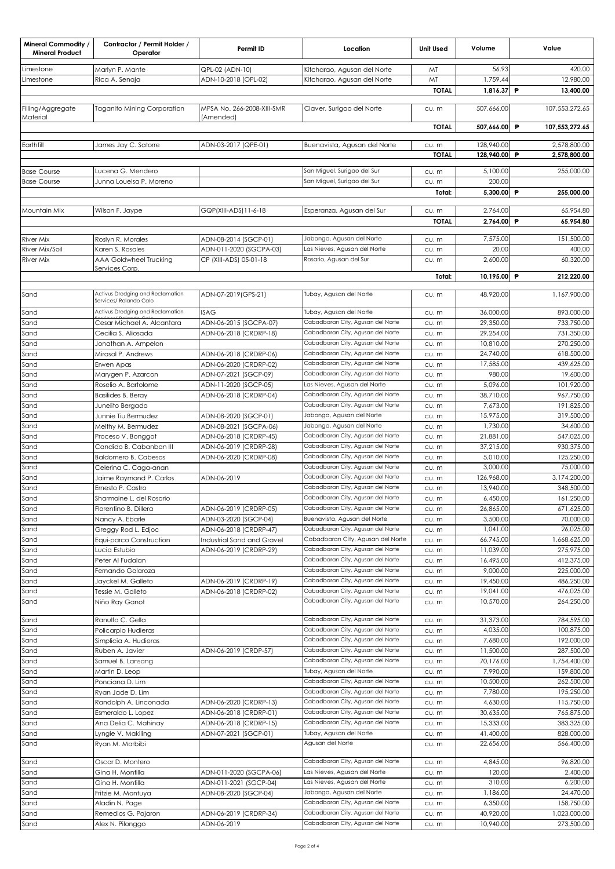| <b>Mineral Commodity /</b><br><b>Mineral Product</b> | Contractor / Permit Holder /<br>Operator | Permit ID                                         | Location                                                               | <b>Unit Used</b> | Volume                | Value                    |
|------------------------------------------------------|------------------------------------------|---------------------------------------------------|------------------------------------------------------------------------|------------------|-----------------------|--------------------------|
| Limestone                                            | Marlyn P. Mante                          | QPL-02 (ADN-10)                                   | Kitcharao, Agusan del Norte                                            | MT               | 56.93                 | 420.00                   |
| Limestone                                            | Rica A. Senaja                           | ADN-10-2018 (OPL-02)                              | Kitcharao, Agusan del Norte                                            | MT               | 1,759.44              | 12,980.00                |
|                                                      |                                          |                                                   |                                                                        | <b>TOTAL</b>     | 1,816.37 P            | 13,400.00                |
| Filling/Aggregate<br>Material                        | <b>Taganito Mining Corporation</b>       | MPSA No. 266-2008-XIII-SMR<br>(Amended)           | Claver, Surigao del Norte                                              | CU. m            | 507,666.00            | 107,553,272.65           |
|                                                      |                                          |                                                   |                                                                        | <b>TOTAL</b>     | 507,666.00 P          | 107,553,272.65           |
| Earthfill                                            | James Jay C. Satorre                     | ADN-03-2017 (QPE-01)                              | Buenavista, Agusan del Norte                                           | CU. m            | 128,940.00            | 2,578,800.00             |
|                                                      |                                          |                                                   |                                                                        | <b>TOTAL</b>     | 128,940.00 P          | 2,578,800.00             |
| <b>Base Course</b>                                   | Lucena G. Mendero                        |                                                   | San Miguel, Surigao del Sur                                            |                  | 5,100.00              | 255,000.00               |
| <b>Base Course</b>                                   | Junna Loueisa P. Moreno                  |                                                   | San Miguel, Surigao del Sur                                            | CU. m<br>CU. m   | 200.00                |                          |
|                                                      |                                          |                                                   |                                                                        | Total:           | 5,300.00 P            | 255,000.00               |
| Mountain Mix                                         | Wilson F. Jaype                          | GQP(XIII-ADS) 11-6-18                             | Esperanza, Agusan del Sur                                              | CU. m            | 2,764.00              | 65,954.80                |
|                                                      |                                          |                                                   |                                                                        | <b>TOTAL</b>     | 2,764.00 P            | 65,954.80                |
|                                                      |                                          |                                                   |                                                                        |                  |                       |                          |
| River Mix                                            | Roslyn R. Morales                        | ADN-08-2014 (SGCP-01)                             | Jabonga, Agusan del Norte                                              | cu.m             | 7,575.00              | 151,500.00               |
| River Mix/Soil                                       | Karen S. Rosales                         | ADN-011-2020 (SGCPA-03)                           | Las Nieves, Agusan del Norte                                           | cu.m             | 20.00                 | 400.00                   |
| River Mix                                            | AAA Goldwheel Trucking<br>Services Corp  | CP (XIII-ADS) 05-01-18                            | Rosario, Agusan del Sur                                                | cu.m             | 2,600.00              | 60,320.00                |
|                                                      |                                          |                                                   |                                                                        | Total:           | 10,195.00 P           | 212,220.00               |
|                                                      | Activus Dredging and Reclamation         |                                                   |                                                                        |                  |                       |                          |
| Sand                                                 | Services/ Rolando Calo                   | ADN-07-2019 (GPS-21)                              | Tubay, Agusan del Norte                                                | CU. m            | 48,920.00             | 1,167,900.00             |
| Sand                                                 | Activus Dredging and Reclamation         | <b>ISAG</b>                                       | Tubay, Agusan del Norte                                                | CU. m            | 36,000.00             | 893,000.00               |
| Sand                                                 | Cesar Michael A. Alcantara               | ADN-06-2015 (SGCPA-07)                            | Cabadbaran City, Agusan del Norte                                      | CU. m            | 29,350.00             | 733,750.00               |
| Sand                                                 | Cecilia S. Aliosada                      | ADN-06-2018 (CRDRP-18)                            | Cabadbaran City, Agusan del Norte                                      | cu.m             | 29,254.00             | 731,350.00               |
| Sand                                                 | Jonathan A. Ampelon                      |                                                   | Cabadbaran City, Agusan del Norte                                      | CU. m            | 10,810.00             | 270,250.00               |
| Sand                                                 | Mirasol P. Andrews                       | ADN-06-2018 (CRDRP-06)                            | Cabadbaran City, Agusan del Norte                                      | cu.m             | 24,740.00             | 618,500.00               |
| Sand                                                 | Erwen Apas                               | ADN-06-2020 (CRDRP-02)                            | Cabadbaran City, Agusan del Norte                                      | cu.m             | 17,585.00             | 439,625.00               |
| Sand                                                 | Marygen P. Azarcon                       | ADN-07-2021 (SGCP-09)                             | Cabadbaran City, Agusan del Norte                                      | cu.m             | 980.00                | 19,600.00                |
| Sand                                                 | Roselio A. Bartolome                     | ADN-11-2020 (SGCP-05)                             | Las Nieves, Agusan del Norte                                           | CU. m            | 5,096.00              | 101,920.00               |
| Sand                                                 | <b>Basilides B. Beray</b>                | ADN-06-2018 (CRDRP-04)                            | Cabadbaran City, Agusan del Norte                                      | cu.m             | 38,710.00             | 967,750.00               |
| Sand                                                 | Junelito Bergado                         |                                                   | Cabadbaran City, Agusan del Norte                                      | cu.m             | 7,673.00              | 191,825.00               |
| Sand                                                 | Junnie Tiu Bermudez                      | ADN-08-2020 (SGCP-01)                             | Jabonga, Agusan del Norte<br>Jabonga, Agusan del Norte                 | cu.m             | 15,975.00<br>1,730.00 | 319,500.00<br>34,600.00  |
| Sand<br>Sand                                         | Melthy M. Bermudez<br>Proceso V. Bonggot | ADN-08-2021 (SGCPA-06)<br>ADN-06-2018 (CRDRP-45)  | Cabadbaran City, Agusan del Norte                                      | cu.m<br>CU. m    | 21,881.00             | 547,025.00               |
| Sand                                                 | Candido B. Cabanban III                  | ADN-06-2019 (CRDRP-28)                            | Cabadbaran City, Agusan del Norte                                      | CU. m            | 37,215.00             | 930,375.00               |
| Sand                                                 | Baldomero B. Cabesas                     | ADN-06-2020 (CRDRP-08)                            | Cabadbaran City, Agusan del Norte                                      | cu.m             | 5,010.00              | 125,250.00               |
| Sand                                                 | Celerina C. Caga-anan                    |                                                   | Cabadbaran City, Agusan del Norte                                      | CU. m            | 3,000.00              | 75,000.00                |
| Sand                                                 | Jaime Raymond P. Carlos                  | ADN-06-2019                                       | Cabadbaran City, Agusan del Norte                                      | cu.m             | 126,968.00            | 3,174,200.00             |
| Sand                                                 | Ernesto P. Castro                        |                                                   | Cabadbaran City, Agusan del Norte                                      | cu.m             | 13,940.00             | 348,500.00               |
| Sand                                                 | Sharmaine L. del Rosario                 |                                                   | Cabadbaran City, Agusan del Norte                                      | cu. m            | 6,450.00              | 161,250.00               |
| Sand                                                 | Florentino B. Dillera                    | ADN-06-2019 (CRDRP-05)                            | Cabadbaran City, Agusan del Norte                                      | cu.m             | 26,865.00             | 671,625.00               |
| Sand                                                 | Nancy A. Ebarle                          | ADN-03-2020 (SGCP-04)                             | Buenavista, Agusan del Norte                                           | cu.m             | 3,500.00              | 70,000.00                |
| Sand                                                 | Greggy Rod L. Edjoc                      | ADN-06-2018 (CRDRP-47)                            | Cabadbaran City, Agusan del Norte                                      | cu.m             | 1,041.00              | 26,025.00                |
| Sand                                                 | Equi-parco Construction                  | Industrial Sand and Gravel                        | Cabadbaran City, Agusan del Norte                                      | cu.m             | 66,745.00             | 1,668,625.00             |
| Sand                                                 | Lucia Estubio                            | ADN-06-2019 (CRDRP-29)                            | Cabadbaran City, Agusan del Norte                                      | cu.m             | 11,039.00             | 275,975.00               |
| Sand                                                 | Peter Al Fudalan                         |                                                   | Cabadbaran City, Agusan del Norte<br>Cabadbaran City, Agusan del Norte | cu.m             | 16,495.00             | 412,375.00<br>225,000.00 |
| Sand<br>Sand                                         | Fernando Galaroza<br>Jayckel M. Galleto  | ADN-06-2019 (CRDRP-19)                            | Cabadbaran City, Agusan del Norte                                      | cu.m             | 9,000.00<br>19,450.00 | 486,250.00               |
| Sand                                                 | Tessie M. Galleto                        | ADN-06-2018 (CRDRP-02)                            | Cabadbaran City, Agusan del Norte                                      | cu.m<br>cu.m     | 19,041.00             | 476,025.00               |
| Sand                                                 | Niño Ray Ganot                           |                                                   | Cabadbaran City, Agusan del Norte                                      | cu.m             | 10,570.00             | 264,250.00               |
| Sand                                                 | Ranulfo C. Gella                         |                                                   | Cabadbaran City, Agusan del Norte                                      | CU. m            | 31,373.00             | 784,595.00               |
| Sand                                                 | Policarpio Hudieras                      |                                                   | Cabadbaran City, Agusan del Norte                                      | cu.m             | 4,035.00              | 100,875.00               |
| Sand                                                 | Simplicia A. Hudieras                    |                                                   | Cabadbaran City, Agusan del Norte                                      | cu.m             | 7,680.00              | 192,000.00               |
| Sand                                                 | Ruben A. Javier                          | ADN-06-2019 (CRDP-57)                             | Cabadbaran City, Agusan del Norte                                      | CU. m            | 11,500.00             | 287,500.00               |
| Sand                                                 | Samuel B. Lansang                        |                                                   | Cabadbaran City, Agusan del Norte                                      | cu.m             | 70,176.00             | 1,754,400.00             |
| Sand                                                 | Martin D. Leop                           |                                                   | Tubay, Agusan del Norte                                                | cu.m             | 7,990.00              | 159,800.00               |
| Sand                                                 | Ponciana D. Lim                          |                                                   | Cabadbaran City, Agusan del Norte                                      | CU. m            | 10,500.00             | 262,500.00               |
| Sand                                                 | Ryan Jade D. Lim                         |                                                   | Cabadbaran City, Agusan del Norte                                      | cu.m             | 7,780.00              | 195,250.00               |
| Sand                                                 | Randolph A. Linconada                    | ADN-06-2020 (CRDRP-13)                            | Cabadbaran City, Agusan del Norte                                      | cu.m             | 4,630.00              | 115,750.00               |
| Sand                                                 | Esmeraldo L. Lopez                       | ADN-06-2018 (CRDRP-01)                            | Cabadbaran City, Agusan del Norte                                      | CU. m            | 30,635.00             | 765,875.00               |
| Sand                                                 | Ana Delia C. Mahinay                     | ADN-06-2018 (CRDRP-15)                            | Cabadbaran City, Agusan del Norte                                      | cu.m             | 15,333.00             | 383,325.00               |
| Sand                                                 | Lyngie V. Makiling                       | ADN-07-2021 (SGCP-01)                             | Tubay, Agusan del Norte                                                | cu.m             | 41,400.00             | 828,000.00               |
| Sand                                                 | Ryan M. Marbibi                          |                                                   | Agusan del Norte                                                       | CU. m            | 22,656.00             | 566,400.00               |
| Sand                                                 | Oscar D. Montero                         |                                                   | Cabadbaran City, Agusan del Norte                                      | CU. m            | 4,845.00              | 96,820.00                |
| Sand<br>Sand                                         | Gina H. Montilla<br>Gina H. Montilla     | ADN-011-2020 (SGCPA-06)<br>ADN-011-2021 (SGCP-04) | Las Nieves, Agusan del Norte<br>Las Nieves, Agusan del Norte           | cu.m             | 120.00<br>310.00      | 2,400.00<br>6,200.00     |
| Sand                                                 | Fritzie M. Montuya                       | ADN-08-2020 (SGCP-04)                             | Jabonga, Agusan del Norte                                              | cu.m<br>CU. m    | 1,186.00              | 24,470.00                |
| Sand                                                 | Aladin N. Page                           |                                                   | Cabadbaran City, Agusan del Norte                                      | cu.m             | 6,350.00              | 158,750.00               |
| Sand                                                 | Remedios G. Pajaron                      | ADN-06-2019 (CRDRP-34)                            | Cabadbaran City, Agusan del Norte                                      | cu.m             | 40,920.00             | 1,023,000.00             |
| Sand                                                 | Alex N. Pilonggo                         | ADN-06-2019                                       | Cabadbaran City, Agusan del Norte                                      | cu.m             | 10,940.00             | 273,500.00               |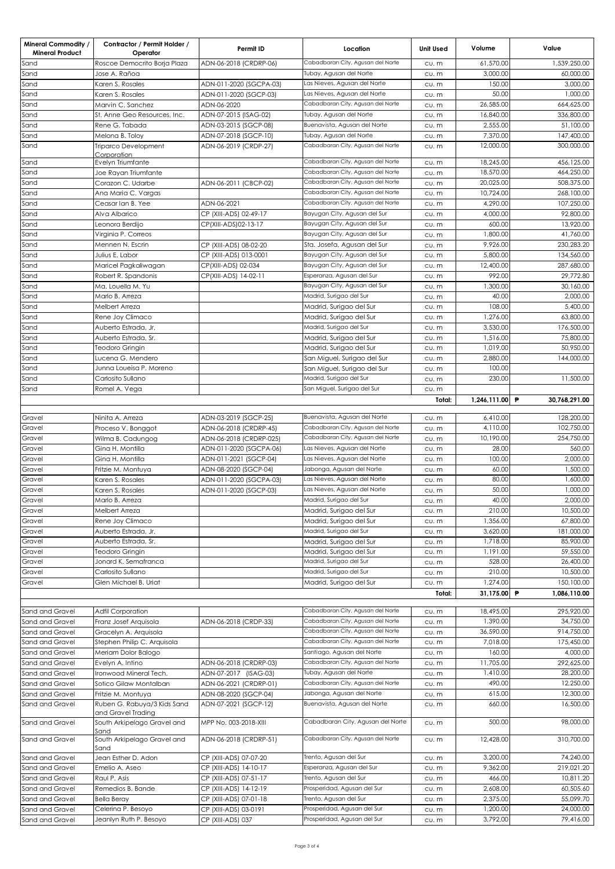| <b>Mineral Commodity /</b><br><b>Mineral Product</b> | Contractor / Permit Holder /<br>Operator           | Permit ID                             | Location                                                               | <b>Unit Used</b> | Volume                 | Value                    |
|------------------------------------------------------|----------------------------------------------------|---------------------------------------|------------------------------------------------------------------------|------------------|------------------------|--------------------------|
| Sand                                                 | Roscoe Democrito Borja Plaza                       | ADN-06-2018 (CRDRP-06)                | Cabadbaran City, Agusan del Norte                                      | CU. m            | 61,570.00              | 1,539,250.00             |
| Sand                                                 | Jose A. Rañoa                                      |                                       | Tubay, Agusan del Norte                                                | CU. m            | 3,000.00               | 60,000.00                |
| Sand                                                 | Karen S. Rosales                                   | ADN-011-2020 (SGCPA-03)               | Las Nieves, Agusan del Norte<br>Las Nieves, Agusan del Norte           | CU. m            | 150.00                 | 3,000,00                 |
| Sand<br>Sand                                         | Karen S. Rosales<br>Marvin C. Sanchez              | ADN-011-2020 (SGCP-03)<br>ADN-06-2020 | Cabadbaran City, Agusan del Norte                                      | CU. m            | 50.00<br>26,585.00     | 1,000.00<br>664,625.00   |
| Sand                                                 | St. Anne Geo Resources, Inc.                       | ADN-07-2015 (ISAG-02)                 | Tubay, Agusan del Norte                                                | cu.m<br>CU. m    | 16,840.00              | 336,800.00               |
| Sand                                                 | Rene G. Tabada                                     | ADN-03-2015 (SGCP-08)                 | Buenavista, Agusan del Norte                                           | CU. m            | 2,555.00               | 51,100.00                |
| Sand                                                 | Melona B. Toloy                                    | ADN-07-2018 (SGCP-10)                 | Tubay, Agusan del Norte                                                | CU. m            | 7,370.00               | 147,400.00               |
| Sand                                                 | Triparco Development                               | ADN-06-2019 (CRDP-27)                 | Cabadbaran City, Agusan del Norte                                      | CU. m            | 12,000.00              | 300,000.00               |
|                                                      | Corporation                                        |                                       |                                                                        |                  |                        |                          |
| Sand                                                 | Evelyn Triumfante                                  |                                       | Cabadbaran City, Agusan del Norte                                      | CU. m            | 18,245.00              | 456.125.00               |
| Sand                                                 | Joe Rayan Triumfante                               |                                       | Cabadbaran City, Agusan del Norte<br>Cabadbaran City, Agusan del Norte | CU. m            | 18,570.00<br>20,025.00 | 464,250.00<br>508.375.00 |
| Sand<br>Sand                                         | Corazon C. Udarbe<br>Ana Maria C. Vargas           | ADN-06-2011 (CBCP-02)                 | Cabadbaran City, Agusan del Norte                                      | CU. m<br>CU. m   | 10,724.00              | 268,100.00               |
| Sand                                                 | Ceasar Ian B. Yee                                  | ADN-06-2021                           | Cabadbaran City, Agusan del Norte                                      | cu.m             | 4,290.00               | 107,250.00               |
| Sand                                                 | Alva Albarico                                      | CP (XIII-ADS) 02-49-17                | Bayugan City, Agusan del Sur                                           | CU. m            | 4.000.00               | 92,800.00                |
| Sand                                                 | Leonora Berdijo                                    | CP(XIII-ADS)02-13-17                  | Bayugan City, Agusan del Sur                                           | CU. m            | 600.00                 | 13,920.00                |
| Sand                                                 | Virginia P. Correos                                |                                       | Bayugan City, Agusan del Sur                                           | CU. m            | 1,800.00               | 41,760.00                |
| Sand                                                 | Mennen N. Escrin                                   | CP (XIII-ADS) 08-02-20                | Sta. Josefa, Agusan del Sur                                            | CU. m            | 9,926.00               | 230,283.20               |
| Sand                                                 | Julius E. Labor                                    | CP (XIII-ADS) 013-0001                | Bayugan City, Agusan del Sur                                           | CU. m            | 5,800,00               | 134,560.00               |
| Sand                                                 | Maricel Pagkaliwagan                               | CP(XIII-ADS) 02-034                   | Bayugan City, Agusan del Sur                                           | cu.m             | 12,400.00              | 287,680.00               |
| Sand                                                 | Robert R. Spandonis                                | CP(XIII-ADS) 14-02-11                 | Esperanza, Agusan del Sur                                              | CU. m            | 992.00                 | 29,772.80                |
| Sand                                                 | Ma. Louella M. Yu                                  |                                       | Bayugan City, Agusan del Sur                                           | CU. m            | 1,300.00               | 30,160.00                |
| Sand                                                 | Marlo B. Arreza                                    |                                       | Madrid, Surigao del Sur                                                | CU. m            | 40.00                  | 2,000.00                 |
| Sand                                                 | Melbert Arreza                                     |                                       | Madrid, Surigao del Sur                                                | CU. m            | 108.00                 | 5,400.00                 |
| Sand                                                 | Rene Joy Climaco                                   |                                       | Madrid, Surigao del Sur                                                | CU. m            | 1,276.00               | 63,800.00                |
| Sand                                                 | Auberto Estrada, Jr.                               |                                       | Madrid, Surigao del Sur                                                | CU. m            | 3.530.00               | 176,500.00               |
| Sand                                                 | Auberto Estrada, Sr.                               |                                       | Madrid, Surigao del Sur                                                | CU. m            | 1,516.00               | 75,800.00                |
| Sand                                                 | Teodoro Gringin                                    |                                       | Madrid, Surigao del Sur                                                | CU. m            | 1,019.00               | 50,950.00                |
| Sand                                                 | Lucena G. Mendero                                  |                                       | San Miguel, Surigao del Sur                                            | CU. m            | 2,880.00               | 144,000.00               |
| Sand<br>Sand                                         | Junna Loueisa P. Moreno<br>Carlosito Sullano       |                                       | San Miguel, Surigao del Sur<br>Madrid, Surigao del Sur                 | CU. m            | 100.00<br>230.00       | 11,500.00                |
| Sand                                                 | Romel A. Vega                                      |                                       | San Miguel, Surigao del Sur                                            | CU. m            |                        |                          |
|                                                      |                                                    |                                       |                                                                        | CU. m<br>Total:  | 1,246,111.00           | P<br>30,768,291.00       |
|                                                      |                                                    |                                       |                                                                        |                  |                        |                          |
| Gravel                                               | Ninita A. Arreza                                   | ADN-03-2019 (SGCP-25)                 | Buenavista, Agusan del Norte                                           | CU. m            | 6,410.00               | 128,200.00               |
| Gravel                                               | Proceso V. Bonggot                                 | ADN-06-2018 (CRDRP-45)                | Cabadbaran City, Agusan del Norte                                      | CU. m            | 4,110.00               | 102,750.00               |
| Gravel                                               | Wilma B. Cadungog                                  | ADN-06-2018 (CRDRP-025)               | Cabadbaran City, Agusan del Norte                                      | CU. m            | 10,190.00              | 254,750.00               |
| Gravel                                               | Gina H. Montilla                                   | ADN-011-2020 (SGCPA-06)               | Las Nieves, Agusan del Norte                                           | CU. m            | 28.00                  | 560.00                   |
| Gravel                                               | Gina H. Montilla                                   | ADN-011-2021 (SGCP-04)                | Las Nieves, Agusan del Norte                                           | CU. m            | 100.00                 | 2,000.00                 |
| Gravel                                               | Fritzie M. Montuya                                 | ADN-08-2020 (SGCP-04)                 | Jabonga, Agusan del Norte                                              | CU. m            | 60.00                  | 1,500.00                 |
| Gravel                                               | Karen S. Rosales                                   | ADN-011-2020 (SGCPA-03)               | Las Nieves, Agusan del Norte                                           | CU. m            | 80.00                  | 1,600.00                 |
| Gravel                                               | Karen S. Rosales                                   | ADN-011-2020 (SGCP-03)                | Las Nieves, Agusan del Norte                                           | CU. m            | 50.00                  | 1,000.00                 |
| Gravel<br>Gravel                                     | Marlo B. Arreza<br>Melbert Arreza                  |                                       | Madrid, Surigao del Sur                                                | cu.m             | 40.00<br>210.00        | 2,000.00<br>10,500.00    |
| Gravel                                               | Rene Joy Climaco                                   |                                       | Madrid, Surigao del Sur<br>Madrid, Surigao del Sur                     | cu.m<br>cu.m     | 1,356.00               | 67,800.00                |
| Gravel                                               | Auberto Estrada, Jr.                               |                                       | Madrid, Surigao del Sur                                                | cu.m             | 3,620.00               | 181,000.00               |
| Gravel                                               | Auberto Estrada, Sr.                               |                                       | Madrid, Surigao del Sur                                                | cu.m             | 1,718.00               | 85,900.00                |
| Gravel                                               | Teodoro Gringin                                    |                                       | Madrid, Surigao del Sur                                                | cu.m             | 1,191.00               | 59,550.00                |
| Gravel                                               | Jonard K. Semafranca                               |                                       | Madrid, Surigao del Sur                                                | cu.m             | 528.00                 | 26,400.00                |
| Gravel                                               | Carlosito Sullano                                  |                                       | Madrid, Surigao del Sur                                                | cu.m             | 210.00                 | 10,500.00                |
| Gravel                                               | Glen Michael B. Uriat                              |                                       | Madrid, Surigao del Sur                                                | cu.m             | 1,274.00               | 150,100.00               |
|                                                      |                                                    |                                       |                                                                        | Total:           | 31,175.00 P            | 1,086,110.00             |
|                                                      |                                                    |                                       |                                                                        |                  |                        |                          |
| Sand and Gravel                                      | <b>Adfil Corporation</b>                           |                                       | Cabadbaran City, Agusan del Norte                                      | cu.m             | 18,495.00              | 295,920.00               |
| Sand and Gravel                                      | Franz Josef Arquisola                              | ADN-06-2018 (CRDP-33)                 | Cabadbaran City, Agusan del Norte                                      | cu.m             | 1,390.00<br>36,590.00  | 34,750.00                |
| Sand and Gravel                                      | Gracelyn A. Arquisola                              |                                       | Cabadbaran City, Agusan del Norte<br>Cabadbaran City, Agusan del Norte | cu.m             | 7,018.00               | 914,750.00<br>175,450.00 |
| Sand and Gravel<br>Sand and Gravel                   | Stephen Philip C. Arquisola<br>Meriam Dolor Balogo |                                       | Santiago, Agusan del Norte                                             | cu.m             | 160.00                 | 4,000.00                 |
| Sand and Gravel                                      | Evelyn A. Intino                                   | ADN-06-2018 (CRDRP-03)                | Cabadbaran City, Agusan del Norte                                      | cu.m<br>cu.m     | 11,705.00              | 292,625.00               |
| Sand and Gravel                                      | Ironwood Mineral Tech.                             | ADN-07-2017 (ISAG-03)                 | Tubay, Agusan del Norte                                                | cu.m             | 1,410.00               | 28,200.00                |
| Sand and Gravel                                      | Sotico Gilaw Montalban                             | ADN-06-2021 (CRDRP-01)                | Cabadbaran City, Agusan del Norte                                      | cu.m             | 490.00                 | 12,250.00                |
| Sand and Gravel                                      | Fritzie M. Montuya                                 | ADN-08-2020 (SGCP-04)                 | Jabonga, Agusan del Norte                                              | cu.m             | 615.00                 | 12,300.00                |
| Sand and Gravel                                      | Ruben G. Rabuya/3 Kids Sand                        | ADN-07-2021 (SGCP-12)                 | Buenavista, Agusan del Norte                                           | cu.m             | 660.00                 | 16,500.00                |
|                                                      | and Gravel Trading                                 |                                       |                                                                        |                  |                        |                          |
| Sand and Gravel                                      | South Arkipelago Gravel and<br>Sand                | MPP No. 003-2018-XIII                 | Cabadbaran City, Agusan del Norte                                      | CU. m            | 500.00                 | 98,000.00                |
| Sand and Gravel                                      | South Arkipelago Gravel and                        | ADN-06-2018 (CRDRP-51)                | Cabadbaran City, Agusan del Norte                                      | CU. m            | 12,428.00              | 310,700.00               |
| Sand and Gravel                                      | Sand<br>Jean Esther D. Adon                        | CP (XIII-ADS) 07-07-20                | Trento, Agusan del Sur                                                 | cu.m             | 3,200.00               | 74,240.00                |
| Sand and Gravel                                      | Emelio A. Aseo                                     | CP (XIII-ADS) 14-10-17                | Esperanza, Agusan del Sur                                              | cu.m             | 9,362.00               | 219,021.20               |
| Sand and Gravel                                      | Raul P. Asis                                       | CP (XIII-ADS) 07-51-17                | Trento, Agusan del Sur                                                 | cu.m             | 466.00                 | 10,811.20                |
| Sand and Gravel                                      | Remedios B. Bande                                  | CP (XIII-ADS) 14-12-19                | Prosperidad, Agusan del Sur                                            | cu.m             | 2,608.00               | 60,505.60                |
| Sand and Gravel                                      | <b>Bella Beray</b>                                 | CP (XIII-ADS) 07-01-18                | Trento, Agusan del Sur                                                 | cu.m             | 2,375.00               | 55,099.70                |
| Sand and Gravel                                      | Celerina P. Besoyo                                 | CP (XIII-ADS) 03-0191                 | Prosperidad, Agusan del Sur                                            | cu.m             | 1,200.00               | 24,000.00                |
| Sand and Gravel                                      | Jeanlyn Ruth P. Besoyo                             | CP (XIII-ADS) 037                     | Prosperidad, Agusan del Sur                                            | cu.m             | 3,792.00               | 79,416.00                |